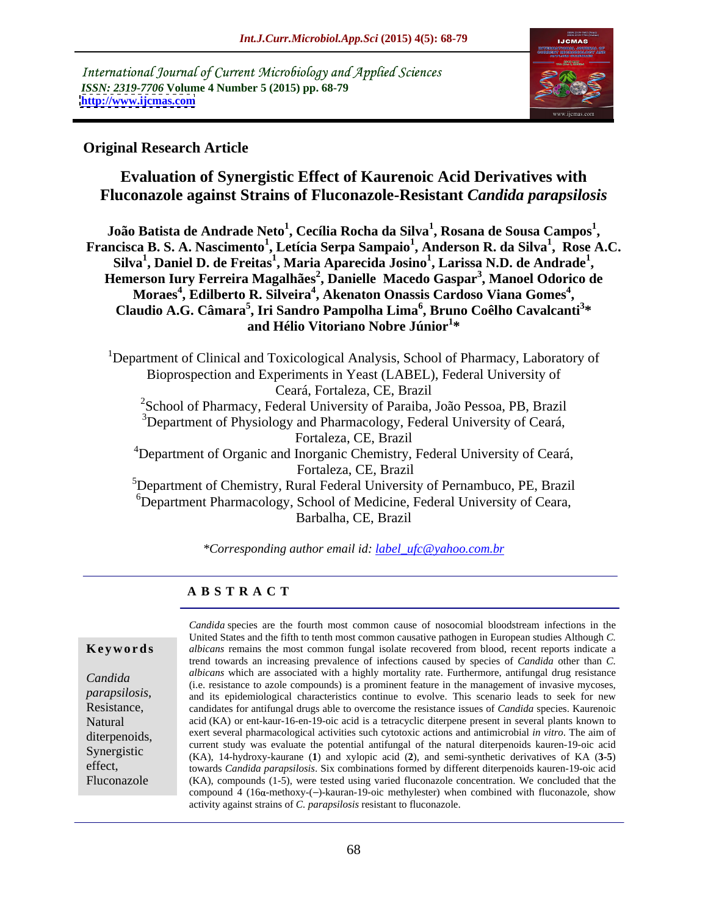International Journal of Current Microbiology and Applied Sciences *ISSN: 2319-7706* **Volume 4 Number 5 (2015) pp. 68-79 <http://www.ijcmas.com>**



### **Original Research Article**

## **Evaluation of Synergistic Effect of Kaurenoic Acid Derivatives with Fluconazole against Strains of Fluconazole-Resistant** *Candida parapsilosis*

**João Batista de Andrade Neto<sup>1</sup> , Cecília Rocha da Silva<sup>1</sup> , Rosana de Sousa Campos<sup>1</sup> , Francisca B. S. A. Nascimento<sup>1</sup> , Letícia Serpa Sampaio<sup>1</sup> , Anderson R. da Silva<sup>1</sup> , Rose A.C. Silva<sup>1</sup> , Daniel D. de Freitas<sup>1</sup> , Maria Aparecida Josino<sup>1</sup> , Larissa N.D. de Andrade<sup>1</sup>** Silva<sup>1</sup>, Daniel D. de Freitas<sup>1</sup>, Maria Aparecida Josino<sup>1</sup>, Larissa N.D. de Andrade<sup>1</sup>,<br>Hemerson Iury Ferreira Magalhães<sup>2</sup>, Danielle Macedo Gaspar<sup>3</sup>, Manoel Odorico de **Moraes<sup>4</sup> , Edilberto R. Silveira<sup>4</sup> , Akenaton Onassis Cardoso Viana Gomes<sup>4</sup>** Moraes<sup>4</sup>, Edilberto R. Silveira<sup>4</sup>, Akenaton Onassis Cardoso Viana Gomes<sup>4</sup>, Claudio A.G. Câmara<sup>5</sup>, Iri Sandro Pampolha Lima<sup>6</sup>, Bruno Coêlho Cavalcanti<sup>3</sup>\* **\* and Hélio Vitoriano Nobre Júnior<sup>1</sup> \***

<sup>1</sup>Department of Clinical and Toxicological Analysis, School of Pharmacy, Laboratory of Bioprospection and Experiments in Yeast (LABEL), Federal University of Ceará, Fortaleza, CE, Brazil <sup>2</sup>School of Pharmacy, Federal University of Paraiba, João Pessoa, PB, Brazil <sup>3</sup>Department of Physiology and Pharmacology, Federal University of Ceará, Fortaleza, CE, Brazil <sup>4</sup>Department of Organic and Inorganic Chemistry, Federal University of Ceará, Fortaleza, CE, Brazil <sup>5</sup>Department of Chemistry, Rural Federal University of Pernambuco, PE, Brazil <sup>6</sup>Department Pharmacology, School of Medicine, Federal University of Ceara, Barbalha, CE, Brazil

*\*Corresponding author email id: label\_ufc@yahoo.com.br* 

### **A B S T R A C T**

Fluconazole

*Candida* species are the fourth most common cause of nosocomial bloodstream infections in the United States and the fifth to tenth most common causative pathogen in European studies Although *C.*  **Keywords** albicans remains the most common fungal isolate recovered from blood, recent reports indicate a trend towards an increasing prevalence of infections caused by species of *Candida* other than *C. albicans* which are associated with a highly mortality rate. Furthermore, antifungal drug resistance Candida and *different* which are associated with a highly horiality rate. Furthermore, antiference and gresstance<br>*Candida* (i.e. resistance to azole compounds) is a prominent feature in the management of invasive mycoses and its epidemiological characteristics continue to evolve. This scenario leads to seek for new parapsilosis,<br>
and its epidemiological characteristics continue to evolve. This scenario leads to seek for new<br> **Resistance**, candidates for antifungal drugs able to overcome the resistance issues of *Candida* species. Kau Natural acid (KA) or ent-kaur-16-en-19-oic acid is a tetracyclic diterpene present in several plants known to diterpenoids, exert several pharmacological activities such cytotoxic actions and antimicrobial *in vitro*. The aim of current study was evaluate the potential antifungal of the natural diterpenoids kauren-19-oic acid Synergistic (KA), 14-hydroxy-kaurane (1) and xylopic acid (2), and semi-synthetic derivatives of KA (3-5) effect, towards *Candida parapsilosis*. Six combinations formed by different diterpenoids kauren-19-oic acid (KA), compounds (1-5), were tested using varied fluconazole concentration. We concluded that the compound 4 (16 $\alpha$ -methoxy-(-)-kauran-19-oic methylester) when combined with fluconazole, show activity against strains of *C. parapsilosis* resistant to fluconazole.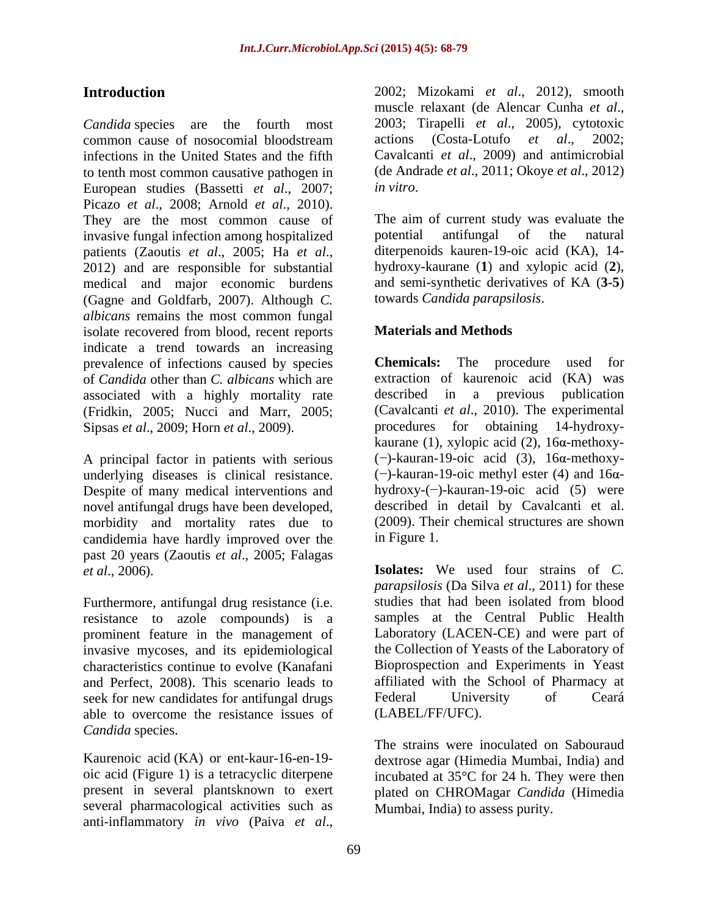infections in the United States and the fifth European studies (Bassetti *et al*., 2007; Picazo *et al*., 2008; Arnold *et al*., 2010). They are the most common cause of invasive fungal infection among hospitalized by potential antifungal of the natural patients (Zaoutis *et al.*, 2005; Ha *et al.*, diterpenoids kauren-19-oic acid (KA), 14-<br>2012) and are responsible for substantial bydroxy-kaurane (1) and xylopic acid (2), medical and major economic burdens (Gagne and Goldfarb, 2007). Although *C. albicans* remains the most common fungal isolate recovered from blood, recent reports indicate a trend towards an increasing prevalence of infections caused by species **Chemicals:** The procedure used for of *Candida* other than *C. albicans* which are associated with a highly mortality rate described in a previous publication (Fridkin, 2005; Nucci and Marr, 2005; (Cavalcanti *et al.*, 2010). The experimental Sipsas *et al.*, 2009: Horn *et al.*, 2009). The experimental procedures for obtaining 14-hydroxy-Sipsas *et al*., 2009; Horn *et al*., 2009).

A principal factor in patients with serious underlying diseases is clinical resistance. Despite of many medical interventions and novel antifungal drugs have been developed, morbidity and mortality rates due to candidemia have hardly improved over the in Figure 1. past 20 years (Zaoutis *et al*., 2005; Falagas

Furthermore, antifungal drug resistance (i.e. resistance to azole compounds) is a prominent feature in the management of invasive mycoses, and its epidemiological characteristics continue to evolve (Kanafani and Perfect, 2008). This scenario leads to seek for new candidates for antifungal drugs Federal University of Ceará able to overcome the resistance issues of *Candida* species.

Kaurenoic acid (KA) or ent-kaur-16-en-19- dextrose agar (Himedia Mumbai, India) and oic acid (Figure 1) is a tetracyclic diterpene incubated at 35°C for 24 h. They were then present in several plantsknown to exert plated on CHROMagar *Candida* (Himedia several pharmacological activities such as anti-inflammatory *in vivo* (Paiva *et al*.,

**Introduction** 2002; Mizokami *et al*., 2012), smooth *Candida* species are the fourth most 2003; Tirapelli *et al.*, 2005), cytotoxic common cause of nosocomial bloodstream actions (Costa-Lotufo *et al.*, 2002; to tenth most common causative pathogen in (de Andrade *et al*., 2011; Okoye *et al*., 2012) muscle relaxant (de Alencar Cunha *et al*., 2003; Tirapelli *et al*., 2005), cytotoxic actions (Costa-Lotufo *et al*., 2002; Cavalcanti *et al*., 2009) and antimicrobial *in vitro*.

> The aim of current study was evaluate the potential antifungal of the natural diterpenoids kauren-19-oic acid (KA), 14 hydroxy-kaurane (**1**) and xylopic acid (**2**), and semi-synthetic derivatives of KA (**3-5**) towards *Candida parapsilosis*.

### **Materials and Methods**

**Chemicals:** The procedure extraction of kaurenoic acid (KA) was described in a previous publication (Cavalcanti *et al*., 2010). The experimental procedures for obtaining kaurane (1), xylopic acid (2),  $16\alpha$ -methoxy- $(-)$ -kauran-19-oic acid (3), 16 $\alpha$ -methoxy- $(-)$ -kauran-19-oic methyl ester (4) and 16 $\alpha$ hydroxy- $(-)$ -kauran-19-oic acid (5) were described in detail by Cavalcanti et al. (2009). Their chemical structures are shown in Figure 1.

*et al*., 2006). **Isolates:** We used four strains of *C. parapsilosis* (Da Silva *et al*., 2011) for these studies that had been isolated from blood samples at the Central Public Health Laboratory (LACEN-CE) and were part of the Collection of Yeasts of the Laboratory of Bioprospection and Experiments in Yeast affiliated with the School of Pharmacy at Federal University of Ceará (LABEL/FF/UFC).

> The strains were inoculated on Sabouraud Mumbai, India) to assess purity.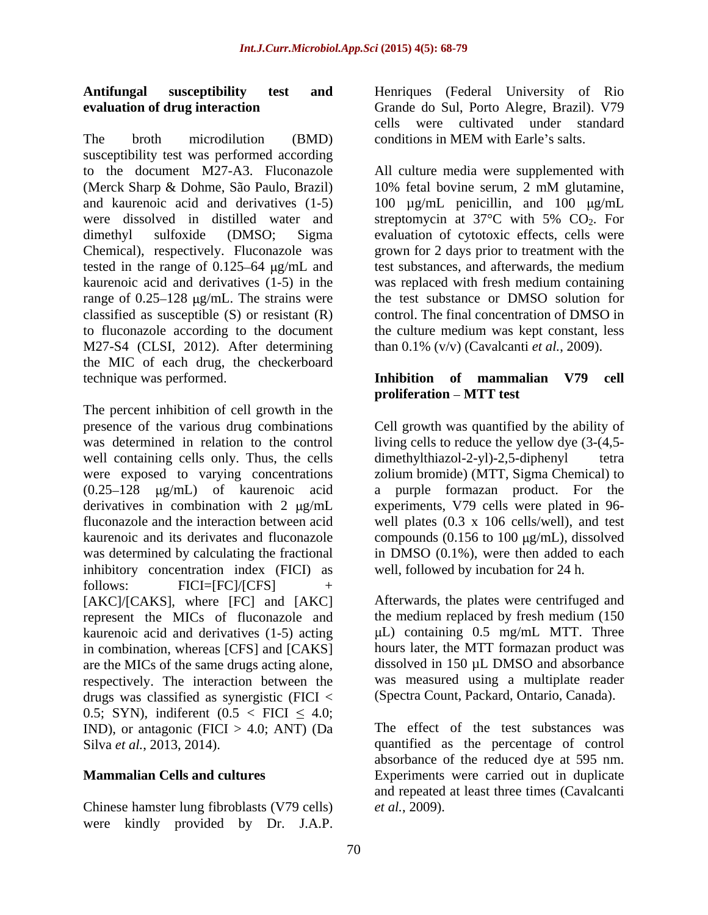## **Antifungal susceptibility test and**

The broth microdilution (BMD) conditions in MEM with Earle's salts. susceptibility test was performed according to the document M27-A3. Fluconazole All culture media were supplemented with (Merck Sharp & Dohme, São Paulo, Brazil) and kaurenoic acid and derivatives  $(1-5)$  100  $\mu$ g/mL penicillin, and 100  $\mu$ g/mL were dissolved in distilled water and streptomycin at  $37^{\circ}$ C with  $5\%$  CO<sub>2</sub>. For dimethyl sulfoxide (DMSO; Sigma evaluation of cytotoxic effects, cells were Chemical), respectively. Fluconazole was grown for 2 days prior to treatment with the tested in the range of 0.125–64  $\mu$ g/mL and test substances, and afterwards, the medium kaurenoic acid and derivatives (1-5) in the was replaced with fresh medium containing range of 0.25–128 µg/mL. The strains were the test substance or DMSO solution for classified as susceptible (S) or resistant (R) to fluconazole according to the document the culture medium was kept constant, less M27-S4 (CLSI, 2012). After determining the MIC of each drug, the checkerboard technique was performed. **Inhibition of mammalian V79 cell**

The percent inhibition of cell growth in the well containing cells only. Thus, the cells dimethylthiazol-2-yl)-2,5-diphenyl tetra were exposed to varying concentrations  $(0.25-128 \quad \mu g/mL)$  of kaurenoic acid inhibitory concentration index (FICI) as follows: FICI=[FC]/[CFS] + [AKC]/[CAKS], where [FC] and [AKC] represent the MICs of fluconazole and kaurenoic acid and derivatives (1-5) acting in combination, whereas [CFS] and [CAKS] are the MICs of the same drugs acting alone, respectively. The interaction between the drugs was classified as synergistic (FICI < 0.5; SYN), indiferent  $(0.5 <$  FICI  $\leq 4.0$ ; IND), or antagonic (FICI  $> 4.0$ ; ANT) (Da Antiformgla susceptibility test and Henriques Gradat linearing of Rio and Henrich Carliston of The henrich continues (Federal University of Rio and the state of the state of the state of the state of the state of the stat

Chinese hamster lung fibroblasts (V79 cells)

**evaluation of drug interaction** Grande do Sul, Porto Alegre, Brazil). V79 cells were cultivated under standard conditions in MEM with Earle's salts.

> 10% fetal bovine serum, 2 mM glutamine, control. The final concentration of DMSO in than 0.1% (v/v) (Cavalcanti *et al.*, 2009).

# proliferation – MTT test

presence of the various drug combinations Cell growth was quantified by the ability of was determined in relation to the control living cells to reduce the yellow dye  $(3-(4,5$ derivatives in combination with 2  $\mu$ g/mL experiments, V79 cells were plated in 96fluconazole and the interaction between acid well plates (0.3 x 106 cells/well), and test kaurenoic and its derivates and fluconazole compounds (0.156 to 100  $\mu$ g/mL), dissolved was determined by calculating the fractional in DMSO (0.1%), were then added to each  $dimethylthiazol-2-yl)-2,5-diphenyl$ zolium bromide) (MTT, Sigma Chemical) to a purple formazan product. For the well, followed by incubation for 24 h.

> Afterwards, the plates were centrifuged and the medium replaced by fresh medium (150  $\mu$ L) containing 0.5 mg/mL MTT. Three hours later, the MTT formazan product was dissolved in 150 µL DMSO and absorbance was measured using a multiplate reader (Spectra Count, Packard, Ontario, Canada).

Silva *et al.*, 2013, 2014). **quantified** as the percentage of control **Mammalian Cells and cultures** Experiments were carried out in duplicate The effect of the test substances was absorbance of the reduced dye at 595 nm. and repeated at least three times (Cavalcanti *et al.*, 2009).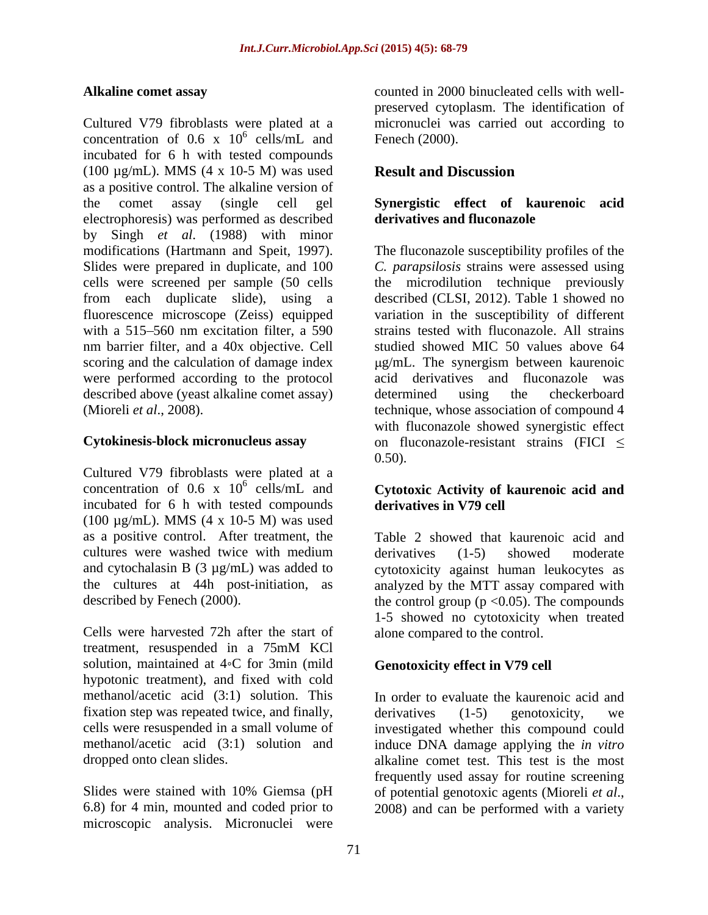Cultured V79 fibroblasts were plated at a micronuclei was carried out according to concentration of 0.6 x  $10^6$  cells/mL and incubated for 6 h with tested compounds (100  $\mu$ g/mL). MMS (4 x 10-5 M) was used **Result and Discussion** as a positive control. The alkaline version of the comet assay (single cell gel **Synergistic effect of kaurenoic acid** electrophoresis) was performed as described by Singh *et al*. (1988) with minor modifications (Hartmann and Speit, 1997). The fluconazole susceptibility profiles of the Slides were prepared in duplicate, and 100 *C. parapsilosis* strains were assessed using cells were screened per sample (50 cells the microdilution technique previously from each duplicate slide), using a fluorescence microscope (Zeiss) equipped with a 515–560 nm excitation filter, a 590 strains tested with fluconazole. All strains nm barrier filter, and a 40x objective. Cell scoring and the calculation of damage index  $\mu$ g/mL. The synergism between kaurenoic were performed according to the protocol acid derivatives and fluconazole was described above (yeast alkaline comet assay) determined using the checkerboard (Mioreli *et al*., 2008). technique, whose association of compound 4

Cultured V79 fibroblasts were plated at a concentration of  $0.6 \times 10^6$  cells/mL and concentration of 0.6 x 10 6 cells/mL and **Cytotoxic Activity of kaurenoic acid and** incubated for 6 h with tested compounds (100 µg/mL). MMS (4 x 10-5 M) was used as a positive control. After treatment, the cultures were washed twice with medium<br>and cytochalasin B  $(3 \mu g/mL)$  was added to cytotoxicity against human leukocytes as

Cells were harvested 72h after the start of treatment, resuspended in a 75mM KCl solution, maintained at  $4°C$  for 3min (mild hypotonic treatment), and fixed with cold methanol/acetic acid (3:1) solution. This fixation step was repeated twice, and finally, cells were resuspended in a small volume of investigated whether this compound could methanol/acetic acid (3:1) solution and

Slides were stained with 10% Giemsa (pH of potential genotoxic agents (Mioreli et al., 6.8) for 4 min, mounted and coded prior to microscopic analysis. Micronuclei were

**Alkaline comet assay** counted in 2000 binucleated cells with well-  $^{6}$  collected and Equal Concept (2000)  $\text{cells/mL}$  and Fenech (2000). preserved cytoplasm. The identification of Fenech (2000).

### **Result and Discussion**

## **derivatives and fluconazole**

**Cytokinesis-block micronucleus assay** on fluconazole-resistant strains (FICI described (CLSI, 2012). Table 1 showed no variation in the susceptibility of different studied showed MIC 50 values above 64 determined using the checkerboard with fluconazole showed synergistic effect 0.50).

## **derivatives in V79 cell**

and cytochalasin B (3 µg/mL) was added to cytotoxicity against human leukocytes as the cultures at 44h post-initiation, as analyzed by the MTT assay compared with described by Fenech (2000). the control group (p <0.05). The compounds Table 2 showed that kaurenoic acid and derivatives (1-5) showed moderate 1-5 showed no cytotoxicity when treated alone compared to the control.

### **Genotoxicity effect in V79 cell**

dropped onto clean slides. alkaline comet test. This test is the most In order to evaluate the kaurenoic acid and derivatives (1-5) genotoxicity, we induce DNA damage applying the *in vitro* frequently used assay for routine screening of potential genotoxic agents (Mioreli *et al*., 2008) and can be performed with <sup>a</sup> variety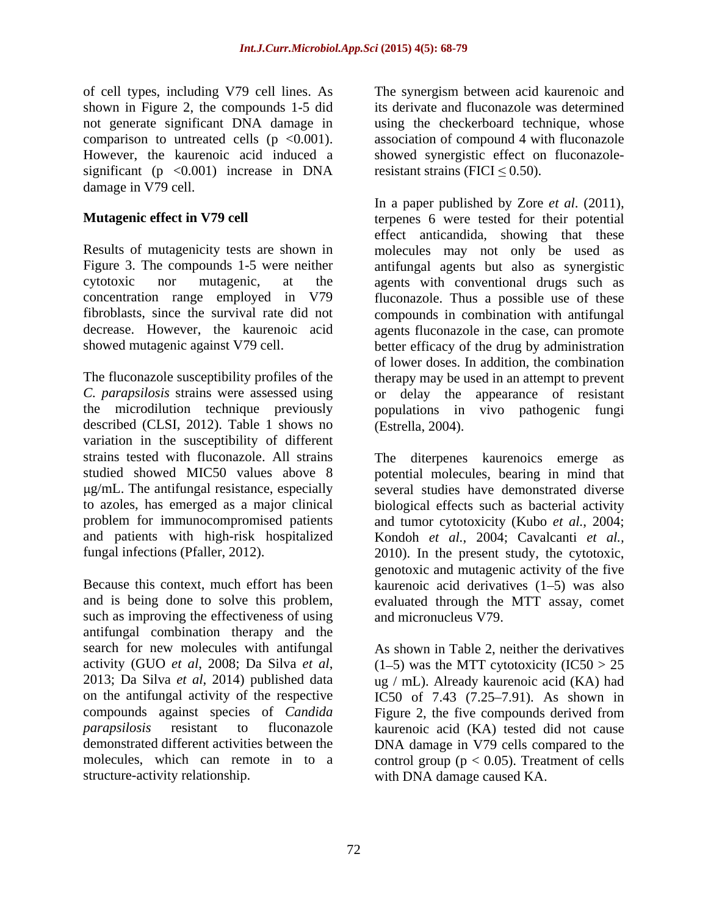of cell types, including V79 cell lines. As shown in Figure 2, the compounds 1-5 did not generate significant DNA damage in comparison to untreated cells  $(p \le 0.001)$ . association of compound 4 with fluconazole However, the kaurenoic acid induced a significant ( $p \leq 0.001$ ) increase in DNA damage in V79 cell.

*C. parapsilosis* strains were assessed using described (CLSI, 2012). Table 1 shows no variation in the susceptibility of different

Because this context, much effort has been kaurenoic acid derivatives (1–5) was also and is being done to solve this problem, evaluated through the MTT assay, comet such as improving the effectiveness of using antifungal combination therapy and the search for new molecules with antifungal activity (GUO *et al*, 2008; Da Silva *et al*, 2013; Da Silva *et al*, 2014) published data on the antifungal activity of the respective IC50 of 7.43 (7.25–7.91). As shown in compounds against species of *Candida*  Figure 2, the five compounds derived from *parapsilosis* resistant to fluconazole kaurenoic acid (KA) tested did not cause demonstrated different activities between the DNA damage in V79 cells compared to the molecules, which can remote in to a control group  $(p < 0.05)$ . Treatment of cells

The synergism between acid kaurenoic and its derivate and fluconazole was determined using the checkerboard technique, whose showed synergistic effect on fluconazoleresistant strains (FICI  $\leq$  0.50).

**Mutagenic effect in V79 cell** terpenes 6 were tested for their potential Results of mutagenicity tests are shown in molecules may not only be used as Figure 3. The compounds 1-5 were neither antifungal agents but also as synergistic cytotoxic nor mutagenic, at the agents with conventional drugs such as concentration range employed in V79 fluconazole. Thus a possible use of these fibroblasts, since the survival rate did not compounds in combination with antifungal decrease. However, the kaurenoic acid agents fluconazole in the case, can promote showed mutagenic against V79 cell. better efficacy of the drug by administration The fluconazole susceptibility profiles of the therapy may be used in an attempt to prevent the microdilution technique previously populations in vivo pathogenic fungi In a paper published by Zore *et al.* (2011), terpenes 6 were tested for their potential effect anticandida, showing that these of lower doses. In addition, the combination appearance of resistant (Estrella, 2004).

strains tested with fluconazole. All strains The diterpenes kaurenoics emerge as studied showed MIC50 values above 8 potential molecules, bearing in mind that g/mL. The antifungal resistance, especially several studies have demonstrated diverse to azoles, has emerged as a major clinical biological effects such as bacterial activity problem for immunocompromised patients and tumor cytotoxicity (Kubo *et al.*, 2004; and patients with high-risk hospitalized Kondoh *et al.*, 2004; Cavalcanti *et al.,* fungal infections (Pfaller, 2012). 2010). In the present study, the cytotoxic, genotoxic and mutagenic activity of the five and micronucleus V79.

structure-activity relationship. with DNA damage caused KA. As shown in Table 2, neither the derivatives  $(1-5)$  was the MTT cytotoxicity  $(IC50 > 25)$ ug / mL). Already kaurenoic acid (KA) had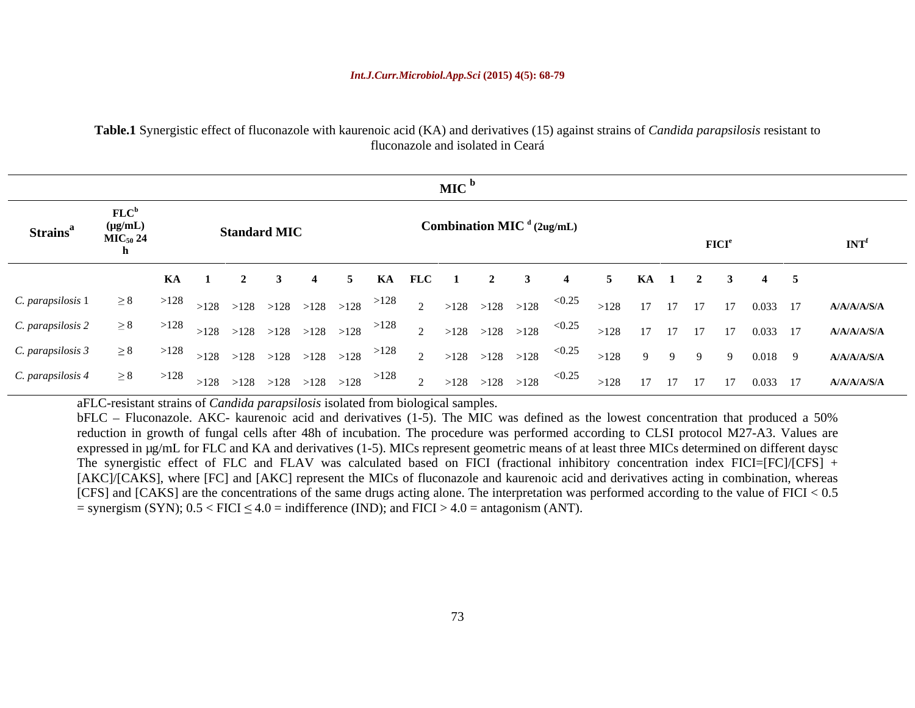|                                                                                                     |                                            |                                                                                         | MIC'                                                                                                                                                                                                                                                                                                                                                                                                                                                                                                                                                                                                                                                                                                                                                                                                                                                          |                            |                  |
|-----------------------------------------------------------------------------------------------------|--------------------------------------------|-----------------------------------------------------------------------------------------|---------------------------------------------------------------------------------------------------------------------------------------------------------------------------------------------------------------------------------------------------------------------------------------------------------------------------------------------------------------------------------------------------------------------------------------------------------------------------------------------------------------------------------------------------------------------------------------------------------------------------------------------------------------------------------------------------------------------------------------------------------------------------------------------------------------------------------------------------------------|----------------------------|------------------|
| <b>Strains</b> <sup>a</sup>                                                                         | $FLC^b$<br>$\overline{\text{MIC}}_{50}$ 24 | <b>Standard MIC</b>                                                                     | Combination MIC $d$ (2ug/mL)                                                                                                                                                                                                                                                                                                                                                                                                                                                                                                                                                                                                                                                                                                                                                                                                                                  | $\mathbf{FICI}^{\text{e}}$ | INT <sup>f</sup> |
|                                                                                                     |                                            |                                                                                         | 4 5 KA FLC 1 2                                                                                                                                                                                                                                                                                                                                                                                                                                                                                                                                                                                                                                                                                                                                                                                                                                                | 5 KA 1 2 3 4 5             |                  |
|                                                                                                     |                                            |                                                                                         | C. parapsilosis 1 ≥ 8 > 128 > 128 > 128 > 128 > 128 > 128 <sup>&gt; 128</sup> 2 > 128 > 128 > 128 <sup>&lt; 0.25</sup> > 128 17 17 17 17 0.033 17 A/A/A/A/S/A                                                                                                                                                                                                                                                                                                                                                                                                                                                                                                                                                                                                                                                                                                 |                            |                  |
|                                                                                                     |                                            |                                                                                         | C. parapsilosis 2 ≥ 8 > 128 > 128 > 128 > 128 > 128 > 128 <sup>&gt; 128</sup> 2 > 128 > 128 > 128 <sup>&lt; 0.25</sup> > 128 17 17 17 17 0.033 17 A/A/A/A/S/A                                                                                                                                                                                                                                                                                                                                                                                                                                                                                                                                                                                                                                                                                                 |                            |                  |
|                                                                                                     |                                            |                                                                                         | C. parapsilosis 3 ≥ 8 > 128 > 128 > 128 > 128 > 128 > 128 <sup>&gt; 128</sup> 2 > 128 > 128 > 128 <sup>&lt; 0.25</sup> > 128 9 9 9 0.018 9 A/A/A/A/S/A                                                                                                                                                                                                                                                                                                                                                                                                                                                                                                                                                                                                                                                                                                        |                            |                  |
|                                                                                                     |                                            |                                                                                         | C. parapsilosis 4 ≥ 8 > 128 > 128 > 128 > 128 > 128 > 128 <sup>&gt; 128</sup> 2 > 128 > 128 > 128 <sup>&lt; 0.25</sup> > 128 17 17 17 17 0.033 17 A/A/A/A/S/A                                                                                                                                                                                                                                                                                                                                                                                                                                                                                                                                                                                                                                                                                                 |                            |                  |
| = synergism (SYN); $0.5 <$ FICI $\leq 4.0$ = indifference (IND); and FICI > 4.0 = antagonism (ANT). |                                            | aFLC-resistant strains of <i>Candida parapsilosis</i> isolated from biological samples. | bFLC – Fluconazole. AKC- kaurenoic acid and derivatives (1-5). The MIC was defined as the lowest concentration that produced a 50%<br>reduction in growth of fungal cells after 48h of incubation. The procedure was performed according to CLSI protocol M27-A3. Values are<br>expressed in µg/mL for FLC and KA and derivatives (1-5). MICs represent geometric means of at least three MICs determined on different daysc<br>The synergistic effect of FLC and FLAV was calculated based on FICI (fractional inhibitory concentration index FICI=[FC]/[CFS] +<br>[AKC]/[CAKS], where [FC] and [AKC] represent the MICs of fluconazole and kaurenoic acid and derivatives acting in combination, whereas<br>[CFS] and [CAKS] are the concentrations of the same drugs acting alone. The interpretation was performed according to the value of FICI < $0.5$ |                            |                  |

**Table.1** Synergistic effect of fluconazole with kaurenoic acid (KA) and derivatives (15) against strains of *Candida parapsilosis* resistant to fluconazole and isolated in Ceará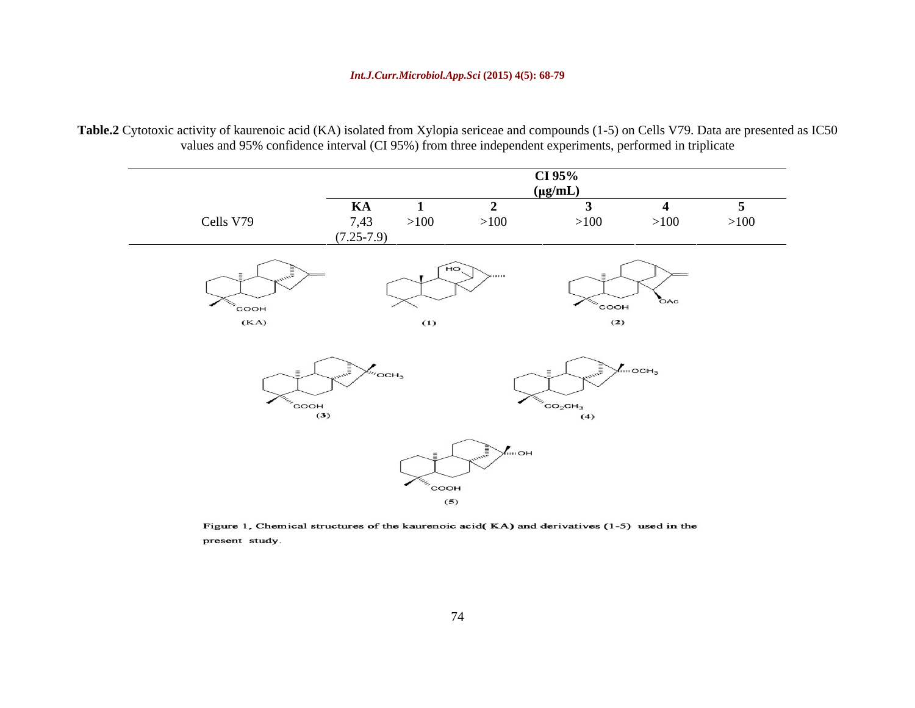### *Int.J.Curr.Microbiol.App.Sci* **(2015) 4(5): 68-79**

**Table.2** Cytotoxic activity of kaurenoic acid (KA) isolated from Xylopia sericeae and compounds (1-5) on Cells V79. Data are presented as IC50 values and 95% confidence interval (CI 95%) from three independent experiments, performed in triplicate

|           | CI $95%$<br>$(\mu g/mL)$                                                                                  |
|-----------|-----------------------------------------------------------------------------------------------------------|
| Cells V79 | the contract of the contract of the<br>KA<br>7,43<br>>100<br>>100<br>>100<br>>100<br>>100<br>$(7.25-7.9)$ |
|           | $H_0$<br>$\sum_{i=1}^{n}$<br>$\gamma_{\eta_{\eta_{\alpha}}}$ COOH<br>OAc<br>COOH                          |
|           | (KA)<br>(2)<br>(1)<br>$\sqrt{m}$ OCH <sub>3</sub>                                                         |
|           | $\frac{m}{2}$ OCH <sub>2</sub><br>$\sim$ COOH $(3)$<br>$C_{{\rm O}_2}CH_3$ (4)                            |
|           | $\searrow$ OH                                                                                             |
|           | соон<br>(5)                                                                                               |

Figure 1, Chemical structures of the kaurenoic acid(KA) and derivatives (1-5) used in the present study.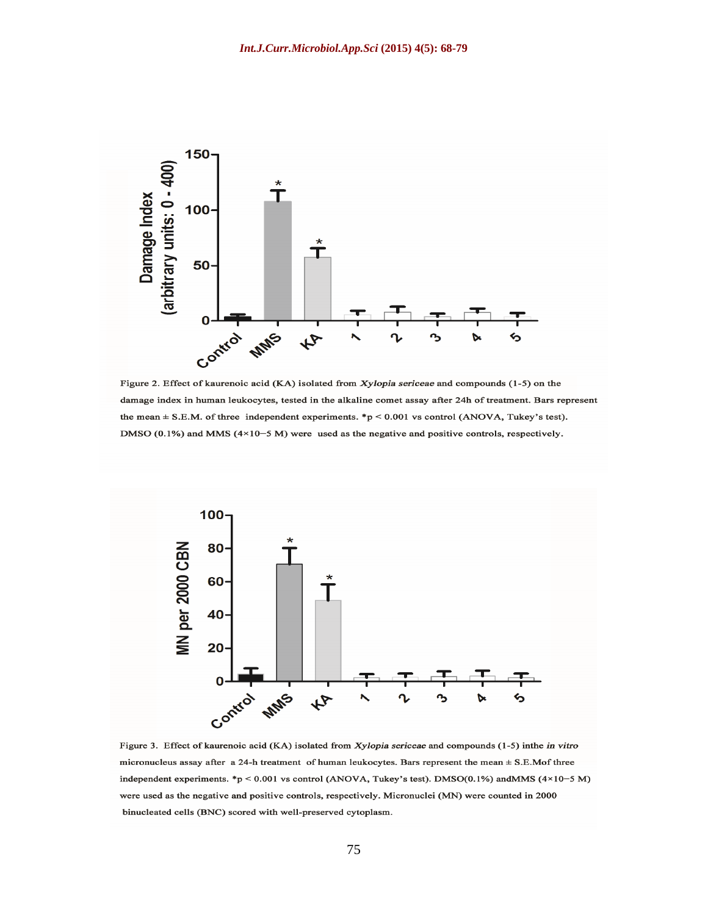

Figure 2. Effect of kaurenoic acid (KA) isolated from Xylopia sericeae and compounds (1-5) on the damage index in human leukocytes, tested in the alkaline comet assay after 24h of treatment. Bars represent the mean  $\pm$  S.E.M. of three independent experiments. \*p < 0.001 vs control (ANOVA, Tukey's test). DMSO (0.1%) and MMS ( $4 \times 10-5$  M) were used as the negative and positive controls, respectively.



Figure 3. Effect of kaurenoic acid (KA) isolated from Xylopia sericeae and compounds (1-5) inthe in vitro micronucleus assay after a 24-h treatment of human leukocytes. Bars represent the mean ± S.E.Mof three independent experiments. \*p < 0.001 vs control (ANOVA, Tukey's test). DMSO(0.1%) andMMS (4×10-5 M) were used as the negative and positive controls, respectively. Micronuclei (MN) were counted in 2000 binucleated cells (BNC) scored with well-preserved cytoplasm.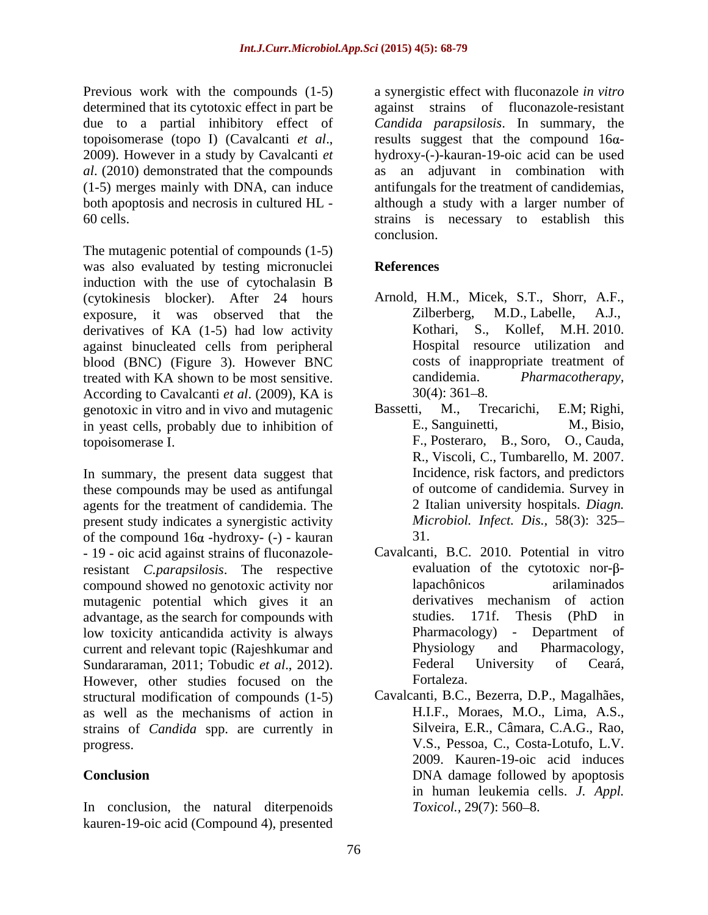determined that its cytotoxic effect in part be

The mutagenic potential of compounds (1-5) was also evaluated by testing micronuclei References induction with the use of cytochalasin B (cytokinesis blocker). After 24 hours exposure, it was observed that the Zilberberg, M.D., Labelle, A.J., derivatives of KA (1-5) had low activity Kothari, S., Kollef, M.H. 2010. derivatives of KA (1-5) had low activity Kothari, S., against binucleated cells from peripheral blood (BNC) (Figure 3). However BNC treated with KA shown to be most sensitive. According to Cavalcanti *et al*. (2009), KA is genotoxic in vitro and in vivo and mutagenic<br>in veast cells, probably due to inhibition of E., Sanguinetti, M., Bisio, in yeast cells, probably due to inhibition of topoisomerase I. F., Posteraro, B., Soro, O., Cauda,

In summary, the present data suggest that these compounds may be used as antifungal agents for the treatment of candidemia. The present study indicates a synergistic activity of the compound  $16\alpha$  -hydroxy- (-) - kauran 31. - 19 - oic acid against strains of fluconazoleresistant *C.parapsilosis*. The respective compound showed no genotoxic activity nor<br>
mutagenic potential which gives it an derivatives mechanism of action mutagenic potential which gives it an advantage, as the search for compounds with studies. 171f. Thesis (PhD in low toxicity anticandida activity is always **Example 2** Pharmacology - Department of current and relevant topic (Rajeshkumar and Physiology and Pharmacology, current and relevant topic (Rajeshkumar and Physiology and Pharmacology, Sundararaman. 2011: Tobudic *et al.*, 2012). Federal University of Ceará, Sundararaman, 2011; Tobudic *et al*., 2012). However, other studies focused on the structural modification of compounds (1-5) Cavalcanti, B.C., Bezerra, D.P., Magalhães, as well as the mechanisms of action in strains of *Candida* spp. are currently in

In conclusion, the natural diterpenoids  $Toxicol., 29(7)$ : 560–8. kauren-19-oic acid (Compound 4), presented

Previous work with the compounds (1-5) a synergistic effect with fluconazole *in vitro* due to a partial inhibitory effect of *Candida parapsilosis*. In summary, the topoisomerase (topo I) (Cavalcanti *et al*., 2009). However in <sup>a</sup> study by Cavalcanti *et al*. (2010) demonstrated that the compounds as an adjuvant in combination with (1-5) merges mainly with DNA, can induce antifungals for the treatment of candidemias, both apoptosis and necrosis in cultured HL - although a study with a larger number of 60 cells. strains is necessary to establish this against strains of fluconazole-resistant results suggest that the compound  $16\alpha$ hydroxy-(-)-kauran-19-oic acid can be used conclusion.

### **References**

- Arnold, H.M., Micek, S.T., Shorr, A.F., Zilberberg, M.D., Labelle, A.J., Kollef, M.H.  $2010$ . Hospital resource utilization and costs of inappropriate treatment of *Pharmacotherapy,*  $30(4)$ :  $361-8$ .
- Bassetti, M., Trecarichi, E.M; Righi, E., Sanguinetti, M., Bisio, R., Viscoli, C., Tumbarello, M. 2007. Incidence, risk factors, and predictors of outcome of candidemia. Survey in 2 Italian university hospitals. *Diagn. Microbiol. Infect. Dis.,* 58(3): 325 31.
- Cavalcanti, B.C. 2010. Potential in vitro evaluation of the cytotoxic nor- $\beta$ lapachônicos arilaminados derivatives mechanism of action studies. 171f. Thesis (PhD in Pharmacology) - Department of Physiology and Pharmacology, Federal University of Ceará, Fortaleza.
- progress. V.S., Pessoa, C., Costa-Lotufo, L.V. **Conclusion** DNA damage followed by apoptosis H.I.F., Moraes, M.O., Lima, A.S., Silveira, E.R., Câmara, C.A.G., Rao, 2009. Kauren-19-oic acid induces in human leukemia cells. *J. Appl. Toxicol.,* 29(7): 560–8.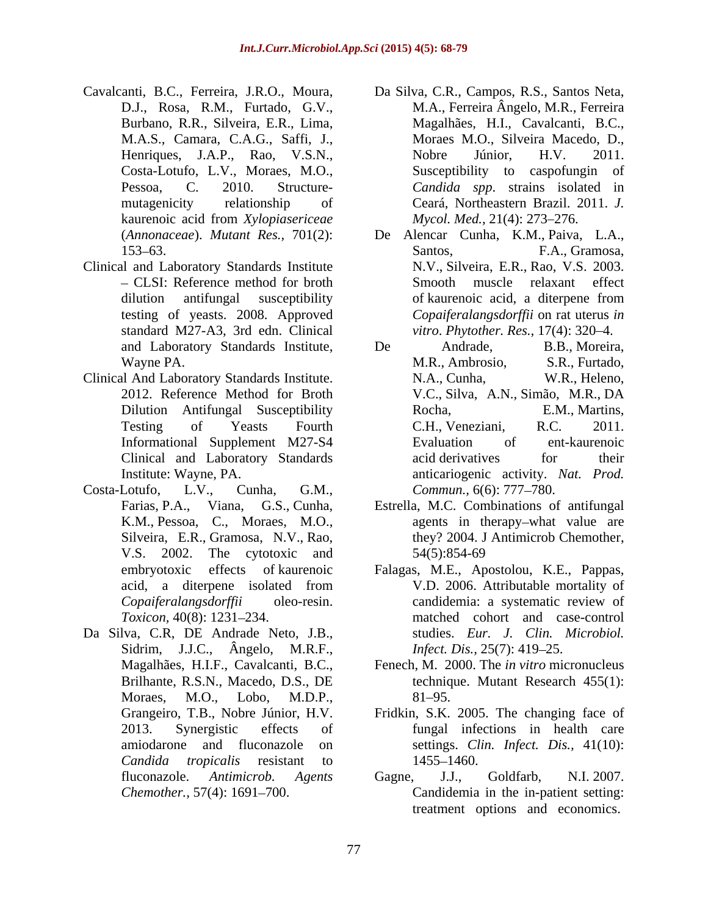- Cavalcanti, B.C., Ferreira, J.R.O., Moura, M.A.S., Camara, C.A.G., Saffi, J., Costa-Lotufo, L.V., Moraes, M.O.,
- Clinical and Laboratory Standards Institute standard M27-A3, 3rd edn. Clinical
- Clinical And Laboratory Standards Institute.
- Costa-Lotufo, L.V., Cunha, G.M.,
- Da Silva, C.R, DE Andrade Neto, J.B., studies. *Eur. J. Clin. Microbiol.*<br>Sidrim, J.J.C., Ângelo, M.R.F., *Infect. Dis.*, 25(7): 419–25.<br>Magalhães, H.I.F., Cavalcanti, B.C., Fenech, M. 2000. The *in vitro* micronucleus<br>Bri Moraes, M.O., Lobo, M.D.P., 81–95.<br>Grangeiro, T.B., Nobre Júnior, H.V. Fridkin, S.K. 2005. The changing face of *Candida tropicalis* resistant to
- D.J., Rosa, R.M., Furtado, G.V., M.A., Ferreira Ângelo, M.R., Ferreira Burbano, R.R., Silveira, E.R., Lima, Magalhães, H.I., Cavalcanti, B.C., Henriques, J.A.P., Rao, V.S.N., Nobre Júnior, H.V. 2011. Pessoa, C. 2010. Structure- *Candida spp*. strains isolated in mutagenicity relationship of Ceará, Northeastern Brazil. 2011. *J.* kaurenoic acid from *Xylopiasericeae* Moraes M.O., Silveira Macedo, D., Nobre Júnior, H.V. 2011. Susceptibility to caspofungin of *Mycol. Med., 21(4): 273-276.*
- (*Annonaceae*). *Mutant Res.,* 701(2): 153–63. Santos, F.A., Gramosa, CLSI: Reference method for broth Smooth muscle relaxant effect dilution antifungal susceptibility of kaurenoic acid, a diterpene from testing of yeasts. 2008. Approved *Copaiferalangsdorffii* on rat uterus *in*  De Alencar Cunha, K.M., Paiva, L.A., Santos, F.A., Gramosa, N.V., Silveira, E.R., Rao, V.S. 2003. of kaurenoic acid, a diterpene from *vitro. Phytother. Res.,* 17(4): 320–4.
- and Laboratory Standards Institute, De Andrade, B.B., Moreira, Wayne PA. Wayne PA. S.R., Eurtado, M.R., Ambrosio, S.R., Furtado, 2012. Reference Method for Broth V.C., Silva, A.N., Simão, M.R., DA Dilution Antifungal Susceptibility Rocha, E.M., Martins, Testing of Yeasts Fourth C.H., Veneziani, R.C. 2011. Informational Supplement M27-S4 Clinical and Laboratory Standards Institute: Wayne, PA. anticariogenic activity. *Nat. Prod.* and Laborato, B.B., Campos, R.C., Campos, R.C., Campos, R.C., Campos, T.C., Campos, T.A., Campos, T.A., Campos, T.A., Campos, T.A., Campos, T.A., Campos, T.A., Campos, T.A., T. Campos, T.A., T. Campos, T.A., T. Campos, T.A De Andrade, B.B., Moreira, M.R., Ambrosio, S.R., Furtado, N.A., Cunha, W.R., Heleno, Rocha, E.M., Martins, C.H., Veneziani, R.C. 2011. Evaluation of ent-kaurenoic acid derivatives for their *Commun.,* 6(6): 777–780.
- Farias, P.A., Viana, G.S., Cunha, Estrella, M.C. Combinations of antifungal K.M., Pessoa, C., Moraes, M.O., agents in therapy-what value are Silveira, E.R., Gramosa, N.V., Rao, they? 2004. J Antimicrob Chemother, V.S. 2002. The cytotoxic and 54(5):854-69
- embryotoxic effects of kaurenoic Falagas, M.E., Apostolou, K.E., Pappas, acid, a diterpene isolated from V.D. 2006. Attributable mortality of *Copaiferalangsdorffii* oleo-resin. candidemia: a systematic review of *Toxicon,* 40(8): 1231 234. matched cohort and case-control V.D. 2006. Attributable mortality of studies. *Eur. J. Clin. Microbiol. Infect. Dis.,* 25(7): 419–25.
	- Fenech, M. 2000. The *in vitro* micronucleus technique. Mutant Research 455(1): 81–95.
- 2013. Synergistic effects of fungal infections in health care amiodarone and fluconazole on settings. *Clin. Infect. Dis.,* 41(10): Fridkin, S.K. 2005. The changing face of
- fluconazole. *Antimicrob. Agents* <sup>1455</sup> 1460. Gagne, J.J., Goldfarb, N.I. 2007. Candidemia in the in-patient setting: treatment options and economics.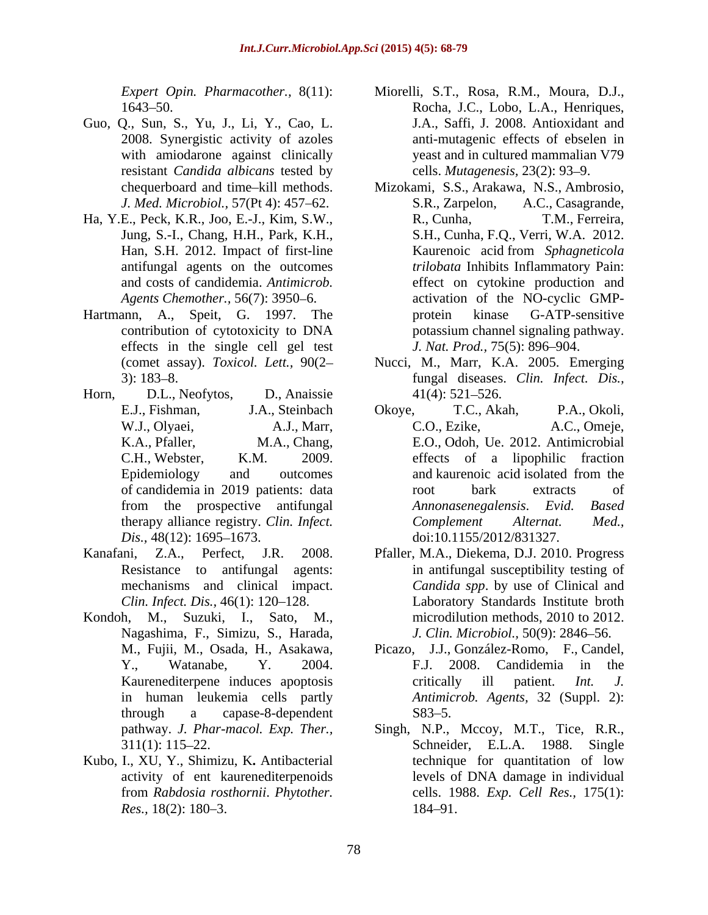- Guo, Q., Sun, S., Yu, J., Li, Y., Cao, L. resistant *Candida albicans* tested by *J. Med. Microbiol.,* 57(Pt 4): 457–62. S.R., Zarpelon,
- Ha, Y.E., Peck, K.R., Joo, E.-J., Kim, S.W.,
- Hartmann, A., Speit, G. 1997. The effects in the single cell gel test
- Horn, D.L., Neofytos, D., Anaissie 41(4): 521–526.
- 
- Kondoh, M., Suzuki, I., Sato, M., Nagashima, F., Simizu, S., Harada,
- 
- *Expert Opin. Pharmacother.,* 8(11): Miorelli, S.T., Rosa, R.M., Moura, D.J., 1643 50. Rocha, J.C., Lobo, L.A., Henriques, 2008. Synergistic activity of azoles anti-mutagenic effects of ebselen in with amiodarone against clinically yeast and in cultured mammalian V79 J.A., Saffi, J. 2008. Antioxidant and cells. *Mutagenesis*, 23(2): 93-9.
- chequerboard and time kill methods. Mizokami, S.S., Arakawa, N.S., Ambrosio, Jung, S.-I., Chang, H.H., Park, K.H., S.H., Cunha, F.Q., Verri, W.A. 2012. Han, S.H. 2012. Impact of first-line Kaurenoic acid from *Sphagneticola*  antifungal agents on the outcomes *trilobata* Inhibits Inflammatory Pain: and costs of candidemia. *Antimicrob.*  effect on cytokine production and Agents Chemother., 56(7): 3950–6. **activation** of the NO-cyclic GMPcontribution of cytotoxicity to DNA A.C., Casagrande, R., Cunha, T.M., Ferreira, protein kinase G-ATP-sensitive potassium channel signaling pathway. *J. Nat. Prod., 75(5): 896–904.*
- (comet assay). *Toxicol. Lett.,* 90(2 Nucci, M., Marr, K.A. 2005. Emerging 3): 183 8. fungal diseases. *Clin. Infect. Dis.,*  $41(4): 521 - 526.$
- E.J., Fishman, J.A., Steinbach W.J., Olyaei, A.J., Marr, A.C., Ezike, A.C., Omeje, K.A., Pfaller, M.A., Chang, E.O., Odoh, Ue. 2012. Antimicrobial C.H., Webster, K.M. 2009. effects of a lipophilic fraction Epidemiology and outcomes and kaurenoic acid isolated from the of candidemia in 2019 patients: data from the prospective antifungal *Annonasenegalensis*. Evid. Based therapy alliance registry. *Clin. Infect. Dis.*, 48(12): 1695–1673. doi:10.1155/2012/831327. Okoye, T.C., Akah, P.A., Okoli, C.O., Ezike, A.C., Omeje, and kaurenoic acid isolated from the root bark extracts of *Annonasenegalensis*. *Evid. Based Complement Alternat. Med.,*
- Kanafani, Z.A., Perfect, J.R. 2008. Pfaller, M.A., Diekema, D.J. 2010. Progress Resistance to antifungal agents: in antifungal susceptibility testing of mechanisms and clinical impact. *Candida spp*. by use of Clinical and *Clin. Infect. Dis.*, 46(1): 120–128. Laboratory Standards Institute broth microdilution methods, 2010 to 2012. *J. Clin. Microbiol.,* 50(9): 2846-56.
	- M., Fujii, M., Osada, H., Asakawa, Picazo, J.J., González-Romo, F., Candel, Y., Watanabe, Y. 2004. Kaurenediterpene induces apoptosis critically ill patient. *Int. J.* in human leukemia cells partly *Antimicrob. Agents,* 32 (Suppl. 2): through a capase-8-dependent F.J. 2008. Candidemia in the critically ill patient. *Int. J.*  $S83 - 5.$
- pathway. *J. Phar-macol. Exp. Ther.,* Singh, N.P., Mccoy, M.T., Tice, R.R., 311(1): 115 22. Schneider, E.L.A. 1988. Single Kubo, I., XU, Y., Shimizu, K**.** Antibacterial activity of ent kaurenediterpenoids from *Rabdosia rosthornii*. *Phytother.*  cells. 1988. *Exp. Cell Res.,* 175(1): *Res.*, 18(2): 180–3. 184–91. technique for quantitation of low levels of DNA damage in individual 184–91.